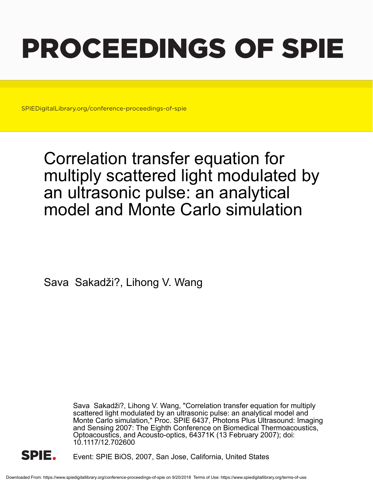# PROCEEDINGS OF SPIE

SPIEDigitalLibrary.org/conference-proceedings-of-spie

## Correlation transfer equation for multiply scattered light modulated by an ultrasonic pulse: an analytical model and Monte Carlo simulation

Sava Sakadži?, Lihong V. Wang

Sava Sakadži?, Lihong V. Wang, "Correlation transfer equation for multiply scattered light modulated by an ultrasonic pulse: an analytical model and Monte Carlo simulation," Proc. SPIE 6437, Photons Plus Ultrasound: Imaging and Sensing 2007: The Eighth Conference on Biomedical Thermoacoustics, Optoacoustics, and Acousto-optics, 64371K (13 February 2007); doi: 10.1117/12.702600



Event: SPIE BiOS, 2007, San Jose, California, United States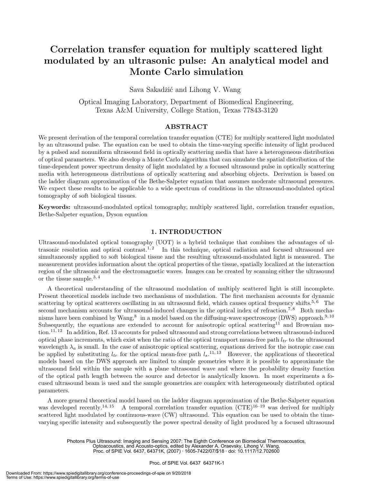### **Correlation transfer equation for multiply scattered light modulated by an ultrasonic pulse: An analytical model and Monte Carlo simulation**

Sava Sakadžić and Lihong V. Wang

Optical Imaging Laboratory, Department of Biomedical Engineering, Texas A&M University, College Station, Texas 77843-3120

#### **ABSTRACT**

We present derivation of the temporal correlation transfer equation (CTE) for multiply scattered light modulated by an ultrasound pulse. The equation can be used to obtain the time-varying specific intensity of light produced by a pulsed and nonuniform ultrasound field in optically scattering media that have a heterogeneous distribution of optical parameters. We also develop a Monte Carlo algorithm that can simulate the spatial distribution of the time-dependent power spectrum density of light modulated by a focused ultrasound pulse in optically scattering media with heterogeneous distributions of optically scattering and absorbing objects. Derivation is based on the ladder diagram approximation of the Bethe-Salpeter equation that assumes moderate ultrasound pressures. We expect these results to be applicable to a wide spectrum of conditions in the ultrasound-modulated optical tomography of soft biological tissues.

**Keywords:** ultrasound-modulated optical tomography, multiply scattered light, correlation transfer equation, Bethe-Salpeter equation, Dyson equation

#### **1. INTRODUCTION**

Ultrasound-modulated optical tomography (UOT) is a hybrid technique that combines the advantages of ultrasonic resolution and optical contrast.<sup>1,2</sup> In this technique, optical radiation and focused ultrasound are simultaneously applied to soft biological tissue and the resulting ultrasound-modulated light is measured. The measurement provides information about the optical properties of the tissue, spatially localized at the interaction region of the ultrasonic and the electromagnetic waves. Images can be created by scanning either the ultrasound or the tissue sample.<sup>3, 4</sup>

A theoretical understanding of the ultrasound modulation of multiply scattered light is still incomplete. Present theoretical models include two mechanisms of modulation. The first mechanism accounts for dynamic scattering by optical scatterers oscillating in an ultrasound field, which causes optical frequency shifts.<sup>5, $6$ </sup> The second mechanism accounts for ultrasound-induced changes in the optical index of refraction.<sup>7,8</sup> Both mechanisms have been combined by Wang, $^8$  in a model based on the diffusing-wave spectroscopy (DWS) approach.<sup>9, 10</sup> Subsequently, the equations are extended to account for anisotropic optical scattering<sup>11</sup> and Brownian motion.<sup>11, 12</sup> In addition, Ref. 13 accounts for pulsed ultrasound and strong correlations between ultrasound-induced optical phase increments, which exist when the ratio of the optical transport mean-free path  $l_{tr}$  to the ultrasound wavelength  $\lambda_a$  is small. In the case of anisotropic optical scattering, equations derived for the isotropic case can be applied by substituting  $l_{tr}$  for the optical mean-free path  $l_s$ .<sup>11, 13</sup> However, the applications of theoretical models based on the DWS approach are limited to simple geometries where it is possible to approximate the ultrasound field within the sample with a plane ultrasound wave and where the probability density function of the optical path length between the source and detector is analytically known. In most experiments a focused ultrasound beam is used and the sample geometries are complex with heterogeneously distributed optical parameters.

A more general theoretical model based on the ladder diagram approximation of the Bethe-Salpeter equation was developed recently.<sup>14, 15</sup> A temporal correlation transfer equation  $(CTE)^{16-19}$  was derived for multiply scattered light modulated by continuous-wave (CW) ultrasound. This equation can be used to obtain the timevarying specific intensity and subsequently the power spectral density of light produced by a focused ultrasound

Photons Plus Ultrasound: Imaging and Sensing 2007: The Eighth Conference on Biomedical Thermoacoustics, Optoacoustics, and Acousto-optics, edited by Alexander A. Oraevsky, Lihong V. Wang, Proc. of SPIE Vol. 6437, 64371K, (2007) · 1605-7422/07/\$18 · doi: 10.1117/12.702600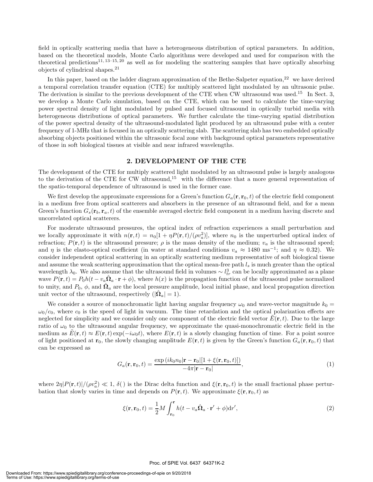field in optically scattering media that have a heterogeneous distribution of optical parameters. In addition, based on the theoretical models, Monte Carlo algorithms were developed and used for comparison with the theoretical predictions<sup>11, 13–15, 20</sup> as well as for modeling the scattering samples that have optically absorbing objects of cylindrical shapes.<sup>21</sup>

In this paper, based on the ladder diagram approximation of the Bethe-Salpeter equation,<sup>22</sup> we have derived a temporal correlation transfer equation (CTE) for multiply scattered light modulated by an ultrasonic pulse. The derivation is similar to the previous development of the CTE when CW ultrasound was used.<sup>15</sup> In Sect. 3, we develop a Monte Carlo simulation, based on the CTE, which can be used to calculate the time-varying power spectral density of light modulated by pulsed and focused ultrasound in optically turbid media with heterogeneous distributions of optical parameters. We further calculate the time-varying spatial distribution of the power spectral density of the ultrasound-modulated light produced by an ultrasound pulse with a center frequency of 1-MHz that is focused in an optically scattering slab. The scattering slab has two embedded optically absorbing objects positioned within the ultrasonic focal zone with background optical parameters representative of those in soft biological tissues at visible and near infrared wavelengths.

#### **2. DEVELOPMENT OF THE CTE**

The development of the CTE for multiply scattered light modulated by an ultrasound pulse is largely analogous to the derivation of the CTE for CW ultrasound,<sup>15</sup> with the difference that a more general representation of the spatio-temporal dependence of ultrasound is used in the former case.

We first develop the approximate expressions for a Green's function  $G_a(\mathbf{r}, \mathbf{r}_0, t)$  of the electric field component in a medium free from optical scatterers and absorbers in the presence of an ultrasound field, and for a mean Green's function  $G_s(\mathbf{r}_b, \mathbf{r}_a, t)$  of the ensemble averaged electric field component in a medium having discrete and uncorrelated optical scatterers.

For moderate ultrasound pressures, the optical index of refraction experiences a small perturbation and we locally approximate it with  $n(\mathbf{r}, t) = n_0[1 + \eta P(\mathbf{r}, t)/(\rho v_a^2)]$ , where  $n_0$  is the unperturbed optical index of refraction;  $P(\mathbf{r}, t)$  is the ultrasound pressure;  $ρ$  is the mass density of the medium;  $v_a$  is the ultrasound speed; and  $\eta$  is the elasto-optical coefficient (in water at standard conditions  $v_a \approx 1480 \text{ ms}^{-1}$ ; and  $\eta \approx 0.32$ ). We consider independent optical scattering in an optically scattering medium representative of soft biological tissue and assume the weak scattering approximation that the optical mean-free path  $l_s$  is much greater than the optical wavelength  $\lambda_0$ . We also assume that the ultrasound field in volumes  $\sim l_{tr}^3$  can be locally approximated as a plane wave  $P(\mathbf{r}, t) = P_0 h(t - v_a \Omega_a \cdot \mathbf{r} + \phi)$ , where  $h(x)$  is the propagation function of the ultrasound pulse normalized to unity, and  $P_0$ ,  $\phi$ , and  $\Omega_a$  are the local pressure amplitude, local initial phase, and local propagation direction unit vector of the ultrasound, respectively  $(|\Omega_a| = 1)$ .

We consider a source of monochromatic light having angular frequency  $\omega_0$  and wave-vector magnitude  $k_0 =$  $\omega_0/c_0$ , where  $c_0$  is the speed of light in vacuum. The time retardation and the optical polarization effects are neglected for simplicity and we consider only one component of the electric field vector  $\vec{E}(\mathbf{r},t)$ . Due to the large ratio of  $\omega_0$  to the ultrasound angular frequency, we approximate the quasi-monochromatic electric field in the medium as  $E(\mathbf{r}, t) \approx E(\mathbf{r}, t) \exp(-i\omega_0 t)$ , where  $E(\mathbf{r}, t)$  is a slowly changing function of time. For a point source of light positioned at  $\mathbf{r}_0$ , the slowly changing amplitude  $E(\mathbf{r}, t)$  is given by the Green's function  $G_a(\mathbf{r}, \mathbf{r}_0, t)$  that can be expressed as

$$
G_a(\mathbf{r}, \mathbf{r}_0, t) = \frac{\exp\left(ik_0 n_0 |\mathbf{r} - \mathbf{r}_0| [1 + \xi(\mathbf{r}, \mathbf{r}_0, t)]\right)}{-4\pi |\mathbf{r} - \mathbf{r}_0|},\tag{1}
$$

where  $2\eta |P(\mathbf{r},t)|/(\rho v_a^2) \ll 1$ ,  $\delta()$  is the Dirac delta function and  $\xi(\mathbf{r},\mathbf{r}_0,t)$  is the small fractional phase perturbation that slowly varies in time and depends on  $P(\mathbf{r},t)$ . We approximate  $\xi(\mathbf{r},\mathbf{r}_0,t)$  as

$$
\xi(\mathbf{r}, \mathbf{r}_0, t) = \frac{1}{2} M \int_{\mathbf{r}_0}^{\mathbf{r}} h(t - v_a \hat{\mathbf{\Omega}}_a \cdot \mathbf{r}' + \phi) \mathrm{d}r', \tag{2}
$$

#### Proc. of SPIE Vol. 6437 64371K-2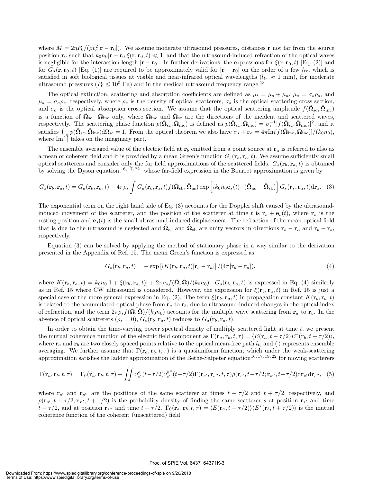where  $M = 2\eta P_0/(\rho v_a^2 |\mathbf{r} - \mathbf{r}_0|)$ . We assume moderate ultrasound pressures, distances **r** not far from the source position **r**<sub>0</sub> such that  $k_0 n_0 | \mathbf{r} - \mathbf{r}_0 | \xi(\mathbf{r}, \mathbf{r}_0, t) \ll 1$ , and that the ultrasound-induced refraction of the optical waves is negligible for the interaction length  $|\mathbf{r} - \mathbf{r}_0|$ . In further derivations, the expressions for  $\xi(\mathbf{r}, \mathbf{r}_0, t)$  [Eq. (2)] and for  $G_a(\mathbf{r}, \mathbf{r}_0, t)$  [Eq. (1)] are required to be approximately valid for  $|\mathbf{r} - \mathbf{r}_0|$  on the order of a few  $l_{tr}$ , which is satisfied in soft biological tissues at visible and near-infrared optical wavelengths  $(l_{tr} \approx 1 \text{ mm})$ , for moderate ultrasound pressures ( $P_0 \leq 10^5$  Pa) and in the medical ultrasound frequency range.<sup>13</sup>

The optical extinction, scattering and absorption coefficients are defined as  $\mu_t = \mu_s + \mu_a$ ,  $\mu_s = \sigma_s \rho_s$ , and  $\mu_a = \sigma_a \rho_s$ , respectively, where  $\rho_s$  is the density of optical scatterers,  $\sigma_s$  is the optical scattering cross section, and  $\sigma_a$  is the optical absorption cross section. We assume that the optical scattering amplitude  $f(\Omega_{\rm sc}, \Omega_{\rm inc})$ is a function of  $\hat{\Omega}_{\rm sc} \cdot \hat{\Omega}_{\rm inc}$  only, where  $\hat{\Omega}_{\rm inc}$  and  $\hat{\Omega}_{\rm sc}$  are the directions of the incident and scattered waves, respectively. The scattering phase function  $p(\hat{\Omega}_{\rm sc}, \hat{\Omega}_{\rm inc})$  is defined as  $p(\hat{\Omega}_{\rm sc}, \hat{\Omega}_{\rm inc}) = \sigma_s^{-1} |f(\hat{\Omega}_{\rm sc}, \hat{\Omega}_{\rm inc})|^2$ , and it satisfies  $\int_{4\pi} p(\hat{\Omega}_{\rm sc}, \hat{\Omega}_{\rm inc}) d\Omega_{\rm sc} = 1$ . From the optical theorem we also have  $\sigma_s + \sigma_a = 4\pi \text{Im}[f(\hat{\Omega}_{\rm inc}, \hat{\Omega}_{\rm inc})]/(k_0 n_0)$ , where Im[ ] takes on the imaginary part.

The ensemble averaged value of the electric field at  $\mathbf{r}_b$  emitted from a point source at  $\mathbf{r}_a$  is referred to also as a mean or coherent field and it is provided by a mean Green's function  $G_s(\mathbf{r}_b, \mathbf{r}_a, t)$ . We assume sufficiently small optical scatterers and consider only the far field approximations of the scattered fields.  $G_s(\mathbf{r}_b, \mathbf{r}_a, t)$  is obtained by solving the Dyson equation,<sup>16, 17, 22</sup> whose far-field expression in the Bourret approximation is given by

$$
G_s(\mathbf{r}_b, \mathbf{r}_a, t) = G_a(\mathbf{r}_b, \mathbf{r}_a, t) - 4\pi \rho_s \int G_a(\mathbf{r}_b, \mathbf{r}_s, t) f(\hat{\mathbf{\Omega}}_{\text{sb}}, \hat{\mathbf{\Omega}}_{\text{as}}) \exp\left[i k_0 n_0 \mathbf{e}_s(t) \cdot (\hat{\mathbf{\Omega}}_{\text{as}} - \hat{\mathbf{\Omega}}_{\text{sb}})\right] G_s(\mathbf{r}_s, \mathbf{r}_a, t) d\mathbf{r}_s. \tag{3}
$$

The exponential term on the right hand side of Eq. (3) accounts for the Doppler shift caused by the ultrasoundinduced movement of the scatterer, and the position of the scatterer at time t is  $\mathbf{r}_s + \mathbf{e}_s(t)$ , where  $\mathbf{r}_s$  is the resting position and  $\mathbf{e}_s(t)$  is the small ultrasound-induced displacement. The refraction of the mean optical field that is due to the ultrasound is neglected and  $\Omega_{\text{as}}$  and  $\Omega_{\text{sb}}$  are unity vectors in directions  $\mathbf{r}_s - \mathbf{r}_a$  and  $\mathbf{r}_b - \mathbf{r}_s$ , respectively.

Equation (3) can be solved by applying the method of stationary phase in a way similar to the derivation presented in the Appendix of Ref. 15. The mean Green's function is expressed as

$$
G_s(\mathbf{r}_b, \mathbf{r}_a, t) = -\exp[iK(\mathbf{r}_b, \mathbf{r}_a, t)|\mathbf{r}_b - \mathbf{r}_a]]/(4\pi|\mathbf{r}_b - \mathbf{r}_a|),\tag{4}
$$

where  $K(\mathbf{r}_b, \mathbf{r}_a, t) = k_0 n_0[1 + \xi(\mathbf{r}_b, \mathbf{r}_a, t)] + 2\pi \rho_s f(\mathbf{\Omega}, \mathbf{\Omega})/(k_0 n_0)$ .  $G_s(\mathbf{r}_b, \mathbf{r}_a, t)$  is expressed in Eq. (4) similarly as in Ref. 15 where CW ultrasound is considered. However, the expression for  $\xi(\mathbf{r}_b, \mathbf{r}_a, t)$  in Ref. 15 is just a special case of the more general expression in Eq. (2). The term  $\xi(\mathbf{r}_b, \mathbf{r}_a, t)$  in propagation constant  $K(\mathbf{r}_b, \mathbf{r}_a, t)$ is related to the accumulated optical phase from  $r_a$  to  $r_b$ , due to ultrasound-induced changes in the optical index of refraction, and the term  $2\pi \rho_s f(\hat{\Omega}, \hat{\Omega})/(k_0 n_0)$  accounts for the multiple wave scattering from  $\mathbf{r}_a$  to  $\mathbf{r}_b$ . In the absence of optical scatterers  $(\rho_s = 0), G_s(\mathbf{r}_b, \mathbf{r}_a, t)$  reduces to  $G_a(\mathbf{r}_b, \mathbf{r}_a, t)$ .

In order to obtain the time-varying power spectral density of multiply scattered light at time  $t$ , we present the mutual coherence function of the electric field component as  $\Gamma(\mathbf{r}_a, \mathbf{r}_b, t, \tau) = \langle E(\mathbf{r}_a, t - \tau/2) E^*(\mathbf{r}_b, t + \tau/2) \rangle$ , where  $\mathbf{r}_a$  and  $\mathbf{r}_b$  are two closely spaced points relative to the optical mean-free path  $l_t$ , and  $\langle \rangle$  represents ensemble averaging. We further assume that  $\Gamma(\mathbf{r}_a, \mathbf{r}_b, t, \tau)$  is a quasiuniform function, which under the weak-scattering approximation satisfies the ladder approximation of the Bethe-Salpeter equation<sup>16, 17, 19, 22</sup> for moving scatterers

$$
\Gamma(\mathbf{r}_a, \mathbf{r}_b, t, \tau) = \Gamma_0(\mathbf{r}_a, \mathbf{r}_b, t, \tau) + \iint v_{s'}^a(t - \tau/2) v_{s''}^{b*}(t + \tau/2) \Gamma(\mathbf{r}_{s'}, \mathbf{r}_{s''}, t, \tau) \rho(\mathbf{r}_{s'}, t - \tau/2; \mathbf{r}_{s''}, t + \tau/2) d\mathbf{r}_{s'} d\mathbf{r}_{s''},
$$
 (5)

where **r**<sub>s'</sub> and **r**<sub>s''</sub> are the positions of the same scatterer at times  $t - \tau/2$  and  $t + \tau/2$ , respectively, and  $\rho(\mathbf{r}_{s'}, t - \tau/2; \mathbf{r}_{s''}, t + \tau/2)$  is the probability density of finding the same scatterer s at position  $\mathbf{r}_{s'}$  and time  $t - \tau/2$ , and at position  $\mathbf{r}_{s''}$  and time  $t + \tau/2$ .  $\Gamma_0(\mathbf{r}_a, \mathbf{r}_b, t, \tau) = \langle E(\mathbf{r}_a, t - \tau/2) \rangle \langle E^*(\mathbf{r}_b, t + \tau/2) \rangle$  is the mutual coherence function of the coherent (unscattered) field.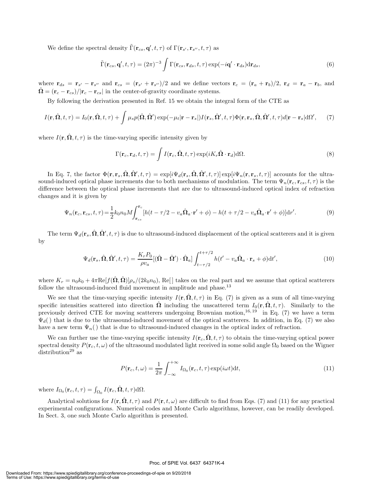We define the spectral density  $\tilde{\Gamma}(\mathbf{r}_{cs}, \mathbf{q}', t, \tau)$  of  $\Gamma(\mathbf{r}_{s'}, \mathbf{r}_{s''}, t, \tau)$  as

$$
\tilde{\Gamma}(\mathbf{r}_{cs}, \mathbf{q}', t, \tau) = (2\pi)^{-3} \int \Gamma(\mathbf{r}_{cs}, \mathbf{r}_{ds}, t, \tau) \exp(-i\mathbf{q}' \cdot \mathbf{r}_{ds}) d\mathbf{r}_{ds},
$$
\n(6)

where  $\mathbf{r}_{ds} = \mathbf{r}_{s'} - \mathbf{r}_{s''}$  and  $\mathbf{r}_{cs} = (\mathbf{r}_{s'} + \mathbf{r}_{s''})/2$  and we define vectors  $\mathbf{r}_c = (\mathbf{r}_a + \mathbf{r}_b)/2$ ,  $\mathbf{r}_d = \mathbf{r}_a - \mathbf{r}_b$ , and  $\hat{\mathbf{\Omega}} = (\mathbf{r}_c - \mathbf{r}_{cs})/|\mathbf{r}_c - \mathbf{r}_{cs}|$  in the center-of-gravity coordinate systems.

By following the derivation presented in Ref. 15 we obtain the integral form of the CTE as

$$
I(\mathbf{r}, \hat{\mathbf{\Omega}}, t, \tau) = I_0(\mathbf{r}, \hat{\mathbf{\Omega}}, t, \tau) + \int \mu_s p(\hat{\mathbf{\Omega}}, \hat{\mathbf{\Omega}}') \exp(-\mu_t |\mathbf{r} - \mathbf{r}_s|) I(\mathbf{r}_s, \hat{\mathbf{\Omega}}', t, \tau) \Phi(\mathbf{r}, \mathbf{r}_s, \hat{\mathbf{\Omega}}, \hat{\mathbf{\Omega}}', t, \tau) d|\mathbf{r} - \mathbf{r}_s| d\Omega', \tag{7}
$$

where  $I(\mathbf{r}, \hat{\mathbf{\Omega}}, t, \tau)$  is the time-varying specific intensity given by

$$
\Gamma(\mathbf{r}_c, \mathbf{r}_d, t, \tau) = \int I(\mathbf{r}_c, \hat{\mathbf{\Omega}}, t, \tau) \exp(i K_r \hat{\mathbf{\Omega}} \cdot \mathbf{r}_d) d\Omega.
$$
\n(8)

In Eq. 7, the factor  $\Phi(\mathbf{r}, \mathbf{r}_s, \hat{\mathbf{\Omega}}, \hat{\mathbf{\Omega}}', t, \tau) = \exp[i\Psi_d(\mathbf{r}_s, \hat{\mathbf{\Omega}}, \hat{\mathbf{\Omega}}', t, \tau)] \exp[i\Psi_n(\mathbf{r}, \mathbf{r}_s, t, \tau)]$  accounts for the ultrasound-induced optical phase increments due to both mechanisms of modulation. The term  $\Psi_n(\mathbf{r}_c, \mathbf{r}_{cs}, t, \tau)$  is the difference between the optical phase increments that are due to ultrasound-induced optical index of refraction changes and it is given by

$$
\Psi_n(\mathbf{r}_c, \mathbf{r}_{cs}, t, \tau) = \frac{1}{2} k_0 n_0 M \int_{\mathbf{r}_{cs}}^{\mathbf{r}_c} [h(t - \tau/2 - v_a \hat{\mathbf{\Omega}}_a \cdot \mathbf{r}' + \phi) - h(t + \tau/2 - v_a \hat{\mathbf{\Omega}}_a \cdot \mathbf{r}' + \phi)] \mathrm{d}r'. \tag{9}
$$

The term  $\Psi_d(\mathbf{r}_s, \hat{\boldsymbol{\Omega}}, \hat{\boldsymbol{\Omega}}', t, \tau)$  is due to ultrasound-induced displacement of the optical scatterers and it is given by

$$
\Psi_d(\mathbf{r}_s, \hat{\mathbf{\Omega}}, \hat{\mathbf{\Omega}}', t, \tau) = \frac{K_r P_0}{\rho v_a} [(\hat{\mathbf{\Omega}} - \hat{\mathbf{\Omega}}') \cdot \hat{\mathbf{\Omega}}_a] \int_{t-\tau/2}^{t+\tau/2} h(t' - v_a \hat{\mathbf{\Omega}}_a \cdot \mathbf{r}_s + \phi) dt', \tag{10}
$$

where  $K_r = n_0k_0 + 4\pi \text{Re}[f(\hat{\Omega}, \hat{\Omega})]\rho_s/(2k_0n_0)$ , Re<sup>[]</sup> takes on the real part and we assume that optical scatterers follow the ultrasound-induced fluid movement in amplitude and phase.<sup>13</sup>

We see that the time-varying specific intensity  $I(\mathbf{r}, \hat{\Omega}, t, \tau)$  in Eq. (7) is given as a sum of all time-varying specific intensities scattered into direction  $\hat{\Omega}$  including the unscattered term  $I_0(\mathbf{r}, \hat{\Omega}, t, \tau)$ . Similarly to the previously derived CTE for moving scatterers undergoing Brownian motion,  $^{16, 19}$  in Eq. (7) we have a term  $\Psi_d$ ) that is due to the ultrasound-induced movement of the optical scatterers. In addition, in Eq. (7) we also have a new term  $\Psi_n()$  that is due to ultrasound-induced changes in the optical index of refraction.

We can further use the time-varying specific intensity  $I(\mathbf{r}_c, \hat{\Omega}, t, \tau)$  to obtain the time-varying optical power spectral density  $P(\mathbf{r}_c, t, \omega)$  of the ultrasound modulated light received in some solid angle  $\Omega_0$  based on the Wigner distribution<sup>29</sup> as

$$
P(\mathbf{r}_c, t, \omega) = \frac{1}{2\pi} \int_{-\infty}^{+\infty} I_{\Omega_0}(\mathbf{r}_c, t, \tau) \exp(i\omega t) dt,
$$
\n(11)

where  $I_{\Omega_0}(\mathbf{r}_c, t, \tau) = \int_{\Omega_0} I(\mathbf{r}_c, \hat{\mathbf{\Omega}}, t, \tau) d\Omega$ .

Analytical solutions for  $I(\mathbf{r}, \hat{\Omega}, t, \tau)$  and  $P(\mathbf{r}, t, \omega)$  are difficult to find from Eqs. (7) and (11) for any practical experimental configurations. Numerical codes and Monte Carlo algorithms, however, can be readily developed. In Sect. 3, one such Monte Carlo algorithm is presented.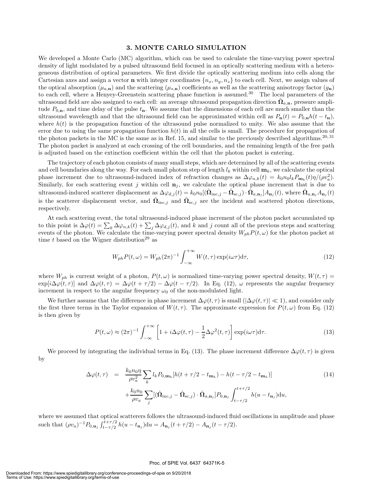#### **3. MONTE CARLO SIMULATION**

We developed a Monte Carlo (MC) algorithm, which can be used to calculate the time-varying power spectral density of light modulated by a pulsed ultrasound field focused in an optically scattering medium with a heterogeneous distribution of optical parameters. We first divide the optically scattering medium into cells along the Cartesian axes and assign a vector **n** with integer coordinates  $\{n_x, n_y, n_z\}$  to each cell. Next, we assign values of the optical absorption  $(\mu_{a,\mathbf{n}})$  and the scattering  $(\mu_{s,\mathbf{n}})$  coefficients as well as the scattering anisotropy factor  $(g_{\mathbf{n}})$ to each cell, where a Henyey-Greenstein scattering phase function is assumed.<sup>30</sup> The local parameters of the ultrasound field are also assigned to each cell: an average ultrasound propagation direction  $\Omega_{a,n}$ , pressure amplitude  $P_{0,n}$ , and time delay of the pulse  $t_n$ . We assume that the dimensions of each cell are much smaller than the ultrasound wavelength and that the ultrasound field can be approximated within cell as  $P_n(t) = P_{0,n}h(t - t_n)$ , where  $h(t)$  is the propagation function of the ultrasound pulse normalized to unity. We also assume that the error due to using the same propagation function  $h(t)$  in all the cells is small. The procedure for propagation of the photon packets in the MC is the same as in Ref. 15, and similar to the previously described algorithms.<sup>20, 31</sup> The photon packet is analyzed at each crossing of the cell boundaries, and the remaining length of the free path is adjusted based on the extinction coefficient within the cell that the photon packet is entering.

The trajectory of each photon consists of many small steps, which are determined by all of the scattering events and cell boundaries along the way. For each small photon step of length  $l_k$  within cell  $\mathbf{m}_k$ , we calculate the optical phase increment due to ultrasound-induced index of refraction changes as  $\Delta\varphi_{n,k}(t) = k_0 n_0 l_k P_{\mathbf{m}_k}(t) \eta/(\rho v_a^2)$ . Similarly, for each scattering event j within cell  $\mathbf{n}_j$ , we calculate the optical phase increment that is due to ultrasound-induced scatterer displacement as  $\Delta\varphi_{d,j}(t) = k_0 n_0 [(\hat{\mathbf{\Omega}}_{\text{inc},j} - \hat{\mathbf{\Omega}}_{\text{sc},j}) \cdot \hat{\mathbf{\Omega}}_{a,\mathbf{n}_j}]A_{\mathbf{n}_j}(t)$ , where  $\hat{\mathbf{\Omega}}_{a,\mathbf{n}_j}A_{\mathbf{n}_j}(t)$ is the scatterer displacement vector, and  $\hat{\mathbf{\Omega}}_{\text{inc},j}$  and  $\hat{\mathbf{\Omega}}_{\text{sc},j}$  are the incident and scattered photon directions, respectively.

At each scattering event, the total ultrasound-induced phase increment of the photon packet accumulated up to this point is  $\Delta\varphi(t) = \sum_k \Delta\varphi_{n,k}(t) + \sum_j \Delta\varphi_{d,j}(t)$ , and k and j count all of the previous steps and scattering events of the photon. We calculate the time-varying power spectral density  $W_{ph}P(t,\omega)$  for the photon packet at time t based on the Wigner distribution<sup>29</sup> as

$$
W_{ph}P(t,\omega) = W_{ph}(2\pi)^{-1} \int_{-\infty}^{+\infty} W(t,\tau) \exp(i\omega\tau) d\tau,
$$
\n(12)

where  $W_{ph}$  is current weight of a photon,  $P(t, \omega)$  is normalized time-varying power spectral density,  $W(t, \tau)$  $\exp[i\Delta\varphi(t,\tau)]$  and  $\Delta\varphi(t,\tau)=\Delta\varphi(t + \tau/2) - \Delta\varphi(t - \tau/2)$ . In Eq. (12),  $\omega$  represents the angular frequency increment in respect to the angular frequency  $\omega_0$  of the non-modulated light.

We further assume that the difference in phase increment  $\Delta \varphi(t, \tau)$  is small  $(|\Delta \varphi(t, \tau)| \ll 1)$ , and consider only the first three terms in the Taylor expansion of  $W(t, \tau)$ . The approximate expression for  $P(t, \omega)$  from Eq. (12) is then given by

$$
P(t,\omega) \approx (2\pi)^{-1} \int_{-\infty}^{+\infty} \left[1 + i\Delta\varphi(t,\tau) - \frac{1}{2}\Delta\varphi^2(t,\tau)\right] \exp(i\omega\tau) d\tau.
$$
 (13)

We proceed by integrating the individual terms in Eq. (13). The phase increment difference  $\Delta\varphi(t,\tau)$  is given by

$$
\Delta \varphi(t,\tau) = \frac{k_0 n_0 \eta}{\rho v_a^2} \sum_k l_k P_{0,\mathbf{m}_k} [h(t+\tau/2 - t_{\mathbf{m}_k}) - h(t-\tau/2 - t_{\mathbf{m}_k})] + \frac{k_0 n_0}{\rho v_a} \sum_j [(\hat{\mathbf{\Omega}}_{\text{inc},j} - \hat{\mathbf{\Omega}}_{\text{sc},j}) \cdot \hat{\mathbf{\Omega}}_{a,\mathbf{n}_j}] P_{0,\mathbf{n}_j} \int_{t-\tau/2}^{t+\tau/2} h(u - t_{\mathbf{n}_j}) \text{d}u,
$$
\n(14)

where we assumed that optical scatterers follows the ultrasound-induced fluid oscillations in amplitude and phase such that  $(\rho v_a)^{-1} P_{0,\mathbf{n}_j} \int_{t-\tau/2}^{t+\tau/2} h(u - t_{\mathbf{n}_j}) du = A_{\mathbf{n}_j}(t+\tau/2) - A_{\mathbf{n}_j}(t-\tau/2).$ 

#### Proc. of SPIE Vol. 6437 64371K-5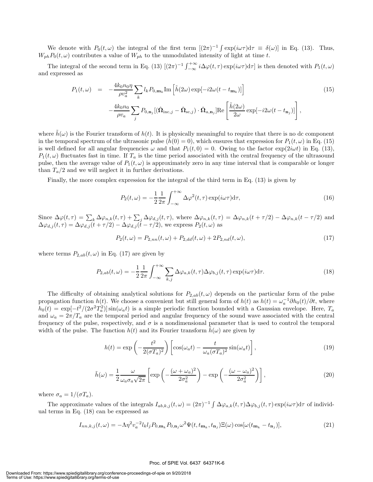We denote with  $P_0(t,\omega)$  the integral of the first term  $[(2\pi)^{-1} \int \exp(i\omega \tau) d\tau \equiv \delta(\omega)]$  in Eq. (13). Thus,  $W_{ph}P_0(t, \omega)$  contributes a value of  $W_{ph}$  to the unmodulated intensity of light at time t.

The integral of the second term in Eq. (13)  $[(2\pi)^{-1} \int_{-\infty}^{+\infty} i \Delta \varphi(t,\tau) \exp(i\omega \tau) d\tau]$  is then denoted with  $P_1(t,\omega)$ and expressed as

$$
P_1(t,\omega) = -\frac{4k_0n_0\eta}{\rho v_a^2} \sum_k l_k P_{0,\mathbf{m}_k} \text{Im} \left[ \tilde{h}(2\omega) \exp[-i2\omega(t - t_{\mathbf{m}_k})] \right]
$$
  

$$
-\frac{4k_0n_0}{\rho v_a} \sum_j P_{0,\mathbf{n}_j} [(\hat{\mathbf{\Omega}}_{\text{inc},j} - \hat{\mathbf{\Omega}}_{\text{sc},j}) \cdot \hat{\mathbf{\Omega}}_{a,\mathbf{n}_j}] \text{Re} \left[ \frac{\tilde{h}(2\omega)}{2\omega} \exp[-i2\omega(t - t_{\mathbf{n}_j})] \right],
$$
(15)

where  $\tilde{h}(\omega)$  is the Fourier transform of  $h(t)$ . It is physically meaningful to require that there is no dc component in the temporal spectrum of the ultrasonic pulse  $(h(0) = 0)$ , which ensures that expression for  $P_1(t, \omega)$  in Eq. (15) is well defined for all angular frequencies  $\omega$  and that  $P_1(t, 0) = 0$ . Owing to the factor  $\exp(2i\omega t)$  in Eq. (13),  $P_1(t,\omega)$  fluctuates fast in time. If  $T_a$  is the time period associated with the central frequency of the ultrasound pulse, then the average value of  $P_1(t, \omega)$  is approximately zero in any time interval that is comparable or longer than  $T_a/2$  and we will neglect it in further derivations.

Finally, the more complex expression for the integral of the third term in Eq. (13) is given by

$$
P_2(t,\omega) = -\frac{1}{2}\frac{1}{2\pi} \int_{-\infty}^{+\infty} \Delta \varphi^2(t,\tau) \exp(i\omega \tau) d\tau,
$$
\n(16)

Since  $\Delta\varphi(t,\tau) = \sum_{k} \Delta\varphi_{n,k}(t,\tau) + \sum_{j} \Delta\varphi_{d,j}(t,\tau)$ , where  $\Delta\varphi_{n,k}(t,\tau) = \Delta\varphi_{n,k}(t+\tau/2) - \Delta\varphi_{n,k}(t-\tau/2)$  and  $\Delta\varphi_{d,j}(t,\tau)=\Delta\varphi_{d,j}(t + \tau/2) - \Delta\varphi_{d,j}(t - \tau/2)$ , we express  $P_2(t,\omega)$  as

$$
P_2(t,\omega) = P_{2,nn}(t,\omega) + P_{2,dd}(t,\omega) + 2P_{2,nd}(t,\omega),
$$
\n(17)

where terms  $P_{2,ab}(t,\omega)$  in Eq. (17) are given by

$$
P_{2,ab}(t,\omega) = -\frac{1}{2}\frac{1}{2\pi} \int_{-\infty}^{+\infty} \sum_{k,j} \Delta \varphi_{a,k}(t,\tau) \Delta \varphi_{b,j}(t,\tau) \exp(i\omega \tau) d\tau.
$$
 (18)

The difficulty of obtaining analytical solutions for  $P_{2,ab}(t,\omega)$  depends on the particular form of the pulse propagation function  $h(t)$ . We choose a convenient but still general form of  $h(t)$  as  $h(t) = \omega_a^{-1} \partial h_0(t)/\partial t$ , where  $h_0(t) = \exp[-t^2/(2\sigma^2 T_a^2)]\sin(\omega_a t)$  is a simple periodic function bounded with a Gaussian envelope. Here,  $T_a$ and  $\omega_a = 2\pi/T_a$  are the temporal period and angular frequency of the sound wave associated with the central frequency of the pulse, respectively, and  $\sigma$  is a nondimensional parameter that is used to control the temporal width of the pulse. The function  $h(t)$  and its Fourier transform  $h(\omega)$  are given by

$$
h(t) = \exp\left(-\frac{t^2}{2(\sigma T_a)^2}\right) \left[\cos(\omega_a t) - \frac{t}{\omega_a(\sigma T_a)^2}\sin(\omega_a t)\right],\tag{19}
$$

$$
\tilde{h}(\omega) = \frac{1}{2} \frac{\omega}{\omega_a \sigma_a \sqrt{2\pi}} \left[ \exp\left(-\frac{(\omega + \omega_a)^2}{2\sigma_a^2}\right) - \exp\left(-\frac{(\omega - \omega_a)^2}{2\sigma_a^2}\right) \right],\tag{20}
$$

where  $\sigma_a = 1/(\sigma T_a)$ .

The approximate values of the integrals  $I_{ab,k,j}(t,\omega) = (2\pi)^{-1} \int \Delta \varphi_{a,k}(t,\tau) \Delta \varphi_{b,j}(t,\tau) \exp(i\omega \tau) d\tau$  of individual terms in Eq. (18) can be expressed as

$$
I_{nn,k,j}(t,\omega) = -\Lambda \eta^2 v_a^{-2} l_k l_j P_{0,\mathbf{m}_k} P_{0,\mathbf{n}_j} \omega^2 \Psi(t, t_{\mathbf{m}_k}, t_{\mathbf{n}_j}) \Xi(\omega) \cos[\omega(t_{\mathbf{m}_k} - t_{\mathbf{n}_j})],\tag{21}
$$

#### Proc. of SPIE Vol. 6437 64371K-6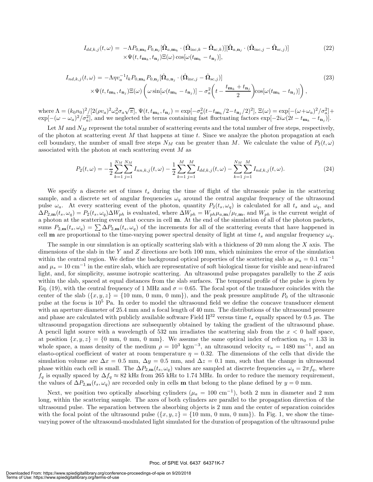$$
I_{dd,k,j}(t,\omega) = -\Lambda P_{0,\mathbf{m}_k} P_{0,\mathbf{n}_j} [\hat{\mathbf{\Omega}}_{a,\mathbf{m}_k} \cdot (\hat{\mathbf{\Omega}}_{\text{inc},k} - \hat{\mathbf{\Omega}}_{\text{sc},k})] [\hat{\mathbf{\Omega}}_{a,\mathbf{n}_j} \cdot (\hat{\mathbf{\Omega}}_{\text{inc},j} - \hat{\mathbf{\Omega}}_{\text{sc},j})] \times \Psi(t, t_{\mathbf{m}_k}, t_{\mathbf{n}_j}) \Xi(\omega) \cos[\omega(t_{\mathbf{m}_k} - t_{\mathbf{n}_j})],
$$
\n(22)

$$
I_{nd,k,j}(t,\omega) = -\Lambda \eta v_a^{-1} l_k P_{0,\mathbf{m}_k} P_{0,\mathbf{n}_j} [\hat{\mathbf{\Omega}}_{a,\mathbf{n}_j} \cdot (\hat{\mathbf{\Omega}}_{\text{inc},j} - \hat{\mathbf{\Omega}}_{\text{sc},j})] \times \Psi(t, t_{\mathbf{m}_k}, t_{\mathbf{n}_j}) \Xi(\omega) \left(\omega \sin[\omega(t_{\mathbf{m}_k} - t_{\mathbf{n}_j})] - \sigma_a^2 \left(t - \frac{t_{\mathbf{m}_k} + t_{\mathbf{n}_j}}{2}\right) \cos[\omega(t_{\mathbf{m}_k} - t_{\mathbf{n}_j})]\right),
$$
\n(23)

where  $\Lambda = (k_0 n_0)^2 / [2(\rho v_a)^2 \omega_a^2 \sigma_a \sqrt{\pi}], \Psi(t, t_{\mathbf{m}_k}, t_{\mathbf{n}_j}) = \exp[-\sigma_a^2 (t - t_{\mathbf{m}_k}/2 - t_{\mathbf{n}_j}/2)^2], \Xi(\omega) = \exp[-(\omega + \omega_a)^2 / \sigma_a^2] +$  $\exp[-(\omega - \omega_a)^2/\sigma_a^2]$ , and we neglected the terms containing fast fluctuating factors  $\exp[-2i\omega(2t - t_{\mathbf{m}_k} - t_{\mathbf{n}_j})]$ .

Let M and  $N_M$  represent the total number of scattering events and the total number of free steps, respectively, of the photon at scattering event  $M$  that happens at time  $t$ . Since we analyze the photon propagation at each cell boundary, the number of small free steps  $N_M$  can be greater than M. We calculate the value of  $P_2(t,\omega)$ associated with the photon at each scattering event M as

$$
P_2(t,\omega) = -\frac{1}{2} \sum_{k=1}^{N_M} \sum_{j=1}^{N_M} I_{nn,k,j}(t,\omega) - \frac{1}{2} \sum_{k=1}^{M} \sum_{j=1}^{M} I_{dd,k,j}(t,\omega) - \sum_{k=1}^{N_M} \sum_{j=1}^{M} I_{nd,k,j}(t,\omega).
$$
(24)

We specify a discrete set of times  $t_s$  during the time of flight of the ultrasonic pulse in the scattering sample, and a discrete set of angular frequencies  $\omega_q$  around the central angular frequency of the ultrasound pulse  $\omega_a$ . At every scattering event of the photon, quantity  $P_2(t_s, \omega_q)$  is calculated for all  $t_s$  and  $\omega_q$ , and  $\Delta P_{2,\text{m}}(t_s,\omega_q) = P_2(t_s,\omega_q)\Delta W_{ph}$  is evaluated, where  $\Delta W_{ph} = W_{ph}\mu_{a,\text{m}}/\mu_{t,\text{m}}$ , and  $W_{ph}$  is the current weight of a photon at the scattering event that occurs in cell **m**. At the end of the simulation of all of the photon packets, sums  $P_{2,m}(t_s,\omega_q) = \sum \Delta P_{2,m}(t_s,\omega_q)$  of the increments for all of the scattering events that have happened in cell **m** are proportional to the time-varying power spectral density of light at time  $t_s$  and angular frequency  $\omega_q$ .

The sample in our simulation is an optically scattering slab with a thickness of 20 mm along the X axis. The dimensions of the slab in the Y and Z directions are both 100 mm, which minimizes the error of the simulation within the central region. We define the background optical properties of the scattering slab as  $\mu_a = 0.1 \text{ cm}^{-1}$ and  $\mu_s = 10 \text{ cm}^{-1}$  in the entire slab, which are representative of soft biological tissue for visible and near-infrared light, and, for simplicity, assume isotropic scattering. An ultrasound pulse propagates parallelly to the Z axis within the slab, spaced at equal distances from the slab surfaces. The temporal profile of the pulse is given by Eq. (19), with the central frequency of 1 MHz and  $\sigma = 0.65$ . The focal spot of the transducer coincides with the center of the slab  $({x, y, z} = {10 \text{ mm}, 0 \text{ mm}}, 0 \text{ mm})$ , and the peak pressure amplitude  $P_0$  of the ultrasonic pulse at the focus is 10<sup>5</sup> Pa. In order to model the ultrasound field we define the concave transducer element with an aperture diameter of 25.4 mm and a focal length of 40 mm. The distributions of the ultrasound pressure and phase are calculated with publicly available software Field II<sup>32</sup> versus time  $t_s$  equally spaced by 0.5  $\mu$ s. The ultrasound propagation directions are subsequently obtained by taking the gradient of the ultrasound phase. A pencil light source with a wavelength of 532 nm irradiates the scattering slab from the  $x < 0$  half space, at position  $\{x, y, z\} = \{0 \text{ mm}, 0 \text{ mm}, 0 \text{ mm}\}\.$  We assume the same optical index of refraction  $n_0 = 1.33$  in whole space, a mass density of the medium  $\rho = 10^3 \text{ kgm}^{-3}$ , an ultrasound velocity  $v_a = 1480 \text{ ms}^{-1}$ , and an elasto-optical coefficient of water at room temperature  $\eta = 0.32$ . The dimensions of the cells that divide the simulation volume are  $\Delta x = 0.5$  mm,  $\Delta y = 0.5$  mm, and  $\Delta z = 0.1$  mm, such that the change in ultrasound phase within each cell is small. The  $\Delta P_{2,m}(t_s, \omega_q)$  values are sampled at discrete frequencies  $\omega_q = 2\pi f_q$ , where  $f_q$  is equally spaced by  $\Delta f_q \approx 82$  kHz from 265 kHz to 1.74 MHz. In order to reduce the memory requirement, the values of  $\Delta P_{2,m}(t_s, \omega_q)$  are recorded only in cells **m** that belong to the plane defined by  $y = 0$  mm.

Next, we position two optically absorbing cylinders ( $\mu_a = 100 \text{ cm}^{-1}$ ), both 2 mm in diameter and 2 mm long, within the scattering sample. The axes of both cylinders are parallel to the propagation direction of the ultrasound pulse. The separation between the absorbing objects is 2 mm and the center of separation coincides with the focal point of the ultrasound pulse  $({x, y, z} = {10 \text{ mm}, 0 \text{ mm}}, 0 \text{ mm})$ ). In Fig. 1, we show the timevarying power of the ultrasound-modulated light simulated for the duration of propagation of the ultrasound pulse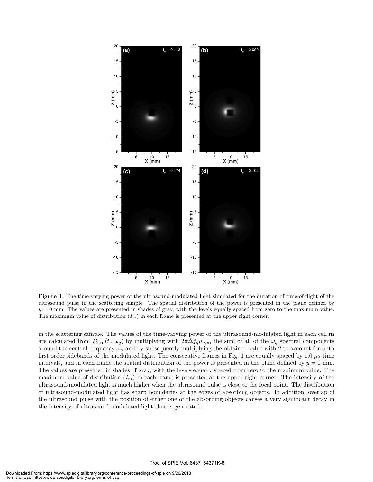

**Figure 1.** The time-varying power of the ultrasound-modulated light simulated for the duration of time-of-flight of the ultrasound pulse in the scattering sample. The spatial distribution of the power is presented in the plane defined by  $y = 0$  mm. The values are presented in shades of gray, with the levels equally spaced from zero to the maximum value. The maximum value of distribution  $(I_m)$  in each frame is presented at the upper right corner.

in the scattering sample. The values of the time-varying power of the ultrasound-modulated light in each cell **m** are calculated from  $P_{2,\mathbf{m}}(t_s,\omega_q)$  by multiplying with  $2\pi\Delta f_q\mu_{a,\mathbf{m}}$  the sum of all of the  $\omega_q$  spectral components around the central frequency  $\omega_a$  and by subsequently multiplying the obtained value with 2 to account for both first order sidebands of the modulated light. The consecutive frames in Fig. 1 are equally spaced by 1.0  $\mu$ s time intervals, and in each frame the spatial distribution of the power is presented in the plane defined by  $y = 0$  mm. The values are presented in shades of gray, with the levels equally spaced from zero to the maximum value. The maximum value of distribution  $(I_m)$  in each frame is presented at the upper right corner. The intensity of the ultrasound-modulated light is much higher when the ultrasound pulse is close to the focal point. The distribution of ultrasound-modulated light has sharp boundaries at the edges of absorbing objects. In addition, overlap of the ultrasound pulse with the position of either one of the absorbing objects causes a very significant decay in the intensity of ultrasound-modulated light that is generated.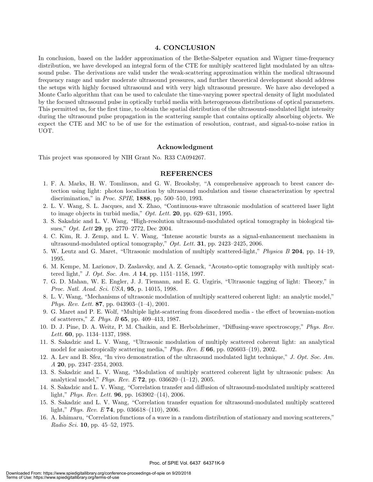#### **4. CONCLUSION**

In conclusion, based on the ladder approximation of the Bethe-Salpeter equation and Wigner time-frequency distribution, we have developed an integral form of the CTE for multiply scattered light modulated by an ultrasound pulse. The derivations are valid under the weak-scattering approximation within the medical ultrasound frequency range and under moderate ultrasound pressures, and further theoretical development should address the setups with highly focused ultrasound and with very high ultrasound pressure. We have also developed a Monte Carlo algorithm that can be used to calculate the time-varying power spectral density of light modulated by the focused ultrasound pulse in optically turbid media with heterogeneous distributions of optical parameters. This permitted us, for the first time, to obtain the spatial distribution of the ultrasound-modulated light intensity during the ultrasound pulse propagation in the scattering sample that contains optically absorbing objects. We expect the CTE and MC to be of use for the estimation of resolution, contrast, and signal-to-noise ratios in UOT.

#### **Acknowledgment**

This project was sponsored by NIH Grant No. R33 CA094267.

#### **REFERENCES**

- 1. F. A. Marks, H. W. Tomlinson, and G. W. Brooksby, "A comprehensive approach to brest cancer detection using light: photon localization by ultrasound modulation and tissue characterization by spectral discrimination," in *Proc. SPIE*, **1888**, pp. 500–510, 1993.
- 2. L. V. Wang, S. L. Jacques, and X. Zhao, "Continuous-wave ultrasonic modulation of scattered laser light to image objects in turbid media," *Opt. Lett.* **20**, pp. 629–631, 1995.
- 3. S. Sakadzic and L. V. Wang, "High-resolution ultrasound-modulated optical tomography in biological tissues," *Opt. Lett* **29**, pp. 2770–2772, Dec 2004.
- 4. C. Kim, R. J. Zemp, and L. V. Wang, "Intense acoustic bursts as a signal-enhancement mechanism in ultrasound-modulated optical tomography," *Opt. Lett.* **31**, pp. 2423–2425, 2006.
- 5. W. Leutz and G. Maret, "Ultrasonic modulation of multiply scattered-light," *Physica B* **204**, pp. 14–19, 1995.
- 6. M. Kempe, M. Larionov, D. Zaslavsky, and A. Z. Genack, "Acousto-optic tomography with multiply scattered light," *J. Opt. Soc. Am. A* **14**, pp. 1151–1158, 1997.
- 7. G. D. Mahan, W. E. Engler, J. J. Tiemann, and E. G. Uzgiris, "Ultrasonic tagging of light: Theory," in *Proc. Natl. Acad. Sci. USA*, **95**, p. 14015, 1998.
- 8. L. V. Wang, "Mechanisms of ultrasonic modulation of multiply scattered coherent light: an analytic model," *Phys. Rev. Lett.* **87**, pp. 043903–(1–4), 2001.
- 9. G. Maret and P. E. Wolf, "Multiple light-scattering from disordered media the effect of brownian-motion of scatterers," *Z. Phys. B* **65**, pp. 409–413, 1987.
- 10. D. J. Pine, D. A. Weitz, P. M. Chaikin, and E. Herbolzheimer, "Diffusing-wave spectroscopy," *Phys. Rev. Lett.* **60**, pp. 1134–1137, 1988.
- 11. S. Sakadzic and L. V. Wang, "Ultrasonic modulation of multiply scattered coherent light: an analytical model for anisotropically scattering media," *Phys. Rev. E* **66**, pp. 026603–(19), 2002.
- 12. A. Lev and B. Sfez, "In vivo demonstration of the ultrasound modulated light technique," *J. Opt. Soc. Am. A* **20**, pp. 2347–2354, 2003.
- 13. S. Sakadzic and L. V. Wang, "Modulation of multiply scattered coherent light by ultrasonic pulses: An analytical model," *Phys. Rev. E* **72**, pp. 036620–(1–12), 2005.
- 14. S. Sakadzic and L. V. Wang, "Correlation transfer and diffusion of ultrasound-modulated multiply scattered light," *Phys. Rev. Lett.* **96**, pp. 163902–(14), 2006.
- 15. S. Sakadzic and L. V. Wang, "Correlation transfer equation for ultrasound-modulated multiply scattered light," *Phys. Rev. E* **74**, pp. 036618–(110), 2006.
- 16. A. Ishimaru, "Correlation functions of a wave in a random distribution of stationary and moving scatterers," *Radio Sci.* **10**, pp. 45–52, 1975.